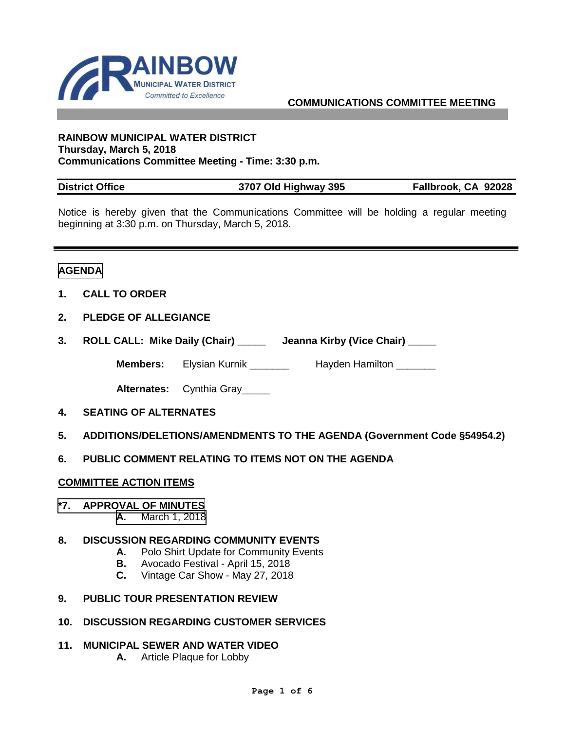

#### **COMMUNICATIONS COMMITTEE MEETING**

#### **RAINBOW MUNICIPAL WATER DISTRICT Thursday, March 5, 2018 Communications Committee Meeting - Time: 3:30 p.m.**

| <b>District Office</b> | 3707 Old Highway 395 | Fallbrook, CA 92028 |
|------------------------|----------------------|---------------------|

Notice is hereby given that the Communications Committee will be holding a regular meeting beginning at 3:30 p.m. on Thursday, March 5, 2018.

#### **AGENDA**

- **1. CALL TO ORDER**
- **2. PLEDGE OF ALLEGIANCE**
- **3. ROLL CALL: Mike Daily (Chair) \_\_\_\_\_ Jeanna Kirby (Vice Chair) \_\_\_\_\_**

**Members:** Elysian Kurnik \_\_\_\_\_\_\_\_ Hayden Hamilton \_\_\_\_\_\_\_

**Alternates:** Cynthia Gray\_\_\_\_\_

- **4. SEATING OF ALTERNATES**
- **5. ADDITIONS/DELETIONS/AMENDMENTS TO THE AGENDA (Government Code §54954.2)**
- **6. PUBLIC COMMENT RELATING TO ITEMS NOT ON THE AGENDA**

#### **COMMITTEE ACTION ITEMS**

#### **\*7. APPROVAL OF MINUTES**

**A.** [March 1, 2018](#page-2-0)

#### **8. DISCUSSION REGARDING COMMUNITY EVENTS**

- **A.** Polo Shirt Update for Community Events
- **B.** Avocado Festival April 15, 2018
- **C.** Vintage Car Show May 27, 2018
- **9. PUBLIC TOUR PRESENTATION REVIEW**
- **10. DISCUSSION REGARDING CUSTOMER SERVICES**
- **11. MUNICIPAL SEWER AND WATER VIDEO** 
	- **A.** Article Plaque for Lobby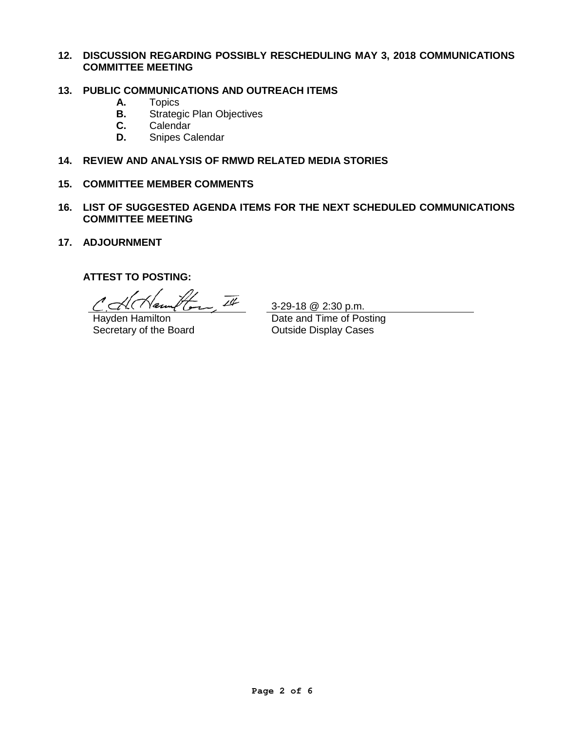#### **12. DISCUSSION REGARDING POSSIBLY RESCHEDULING MAY 3, 2018 COMMUNICATIONS COMMITTEE MEETING**

# **13. PUBLIC COMMUNICATIONS AND OUTREACH ITEMS**

- **A.** Topics
- **B.** Strategic Plan Objectives<br>**C.** Calendar
- **C.** Calendar<br>**D.** Snipes Ca
- **D.** Snipes Calendar

#### **14. REVIEW AND ANALYSIS OF RMWD RELATED MEDIA STORIES**

#### **15. COMMITTEE MEMBER COMMENTS**

- **16. LIST OF SUGGESTED AGENDA ITEMS FOR THE NEXT SCHEDULED COMMUNICATIONS COMMITTEE MEETING**
- **17. ADJOURNMENT**

### **ATTEST TO POSTING:**

How It

Hayden Hamilton Secretary of the Board

3-29-18 @ 2:30 p.m. Date and Time of Posting

Outside Display Cases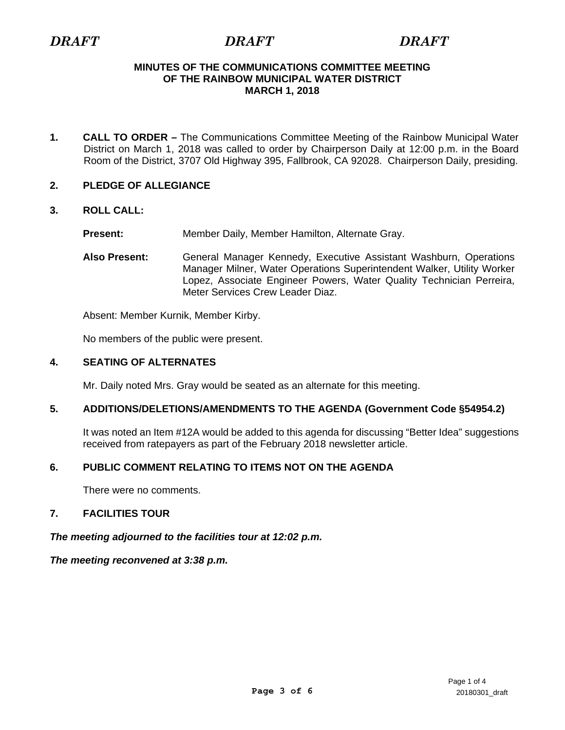# <span id="page-2-0"></span>*DRAFT DRAFT DRAFT*

#### **MINUTES OF THE COMMUNICATIONS COMMITTEE MEETING OF THE RAINBOW MUNICIPAL WATER DISTRICT MARCH 1, 2018**

**1. CALL TO ORDER –** The Communications Committee Meeting of the Rainbow Municipal Water District on March 1, 2018 was called to order by Chairperson Daily at 12:00 p.m. in the Board Room of the District, 3707 Old Highway 395, Fallbrook, CA 92028. Chairperson Daily, presiding.

#### **2. PLEDGE OF ALLEGIANCE**

#### **3. ROLL CALL:**

**Present:** Member Daily, Member Hamilton, Alternate Gray.

**Also Present:** General Manager Kennedy, Executive Assistant Washburn, Operations Manager Milner, Water Operations Superintendent Walker, Utility Worker Lopez, Associate Engineer Powers, Water Quality Technician Perreira, Meter Services Crew Leader Diaz.

Absent: Member Kurnik, Member Kirby.

No members of the public were present.

#### **4. SEATING OF ALTERNATES**

Mr. Daily noted Mrs. Gray would be seated as an alternate for this meeting.

### **5. ADDITIONS/DELETIONS/AMENDMENTS TO THE AGENDA (Government Code §54954.2)**

It was noted an Item #12A would be added to this agenda for discussing "Better Idea" suggestions received from ratepayers as part of the February 2018 newsletter article.

## **6. PUBLIC COMMENT RELATING TO ITEMS NOT ON THE AGENDA**

There were no comments.

### **7. FACILITIES TOUR**

*The meeting adjourned to the facilities tour at 12:02 p.m.* 

*The meeting reconvened at 3:38 p.m.*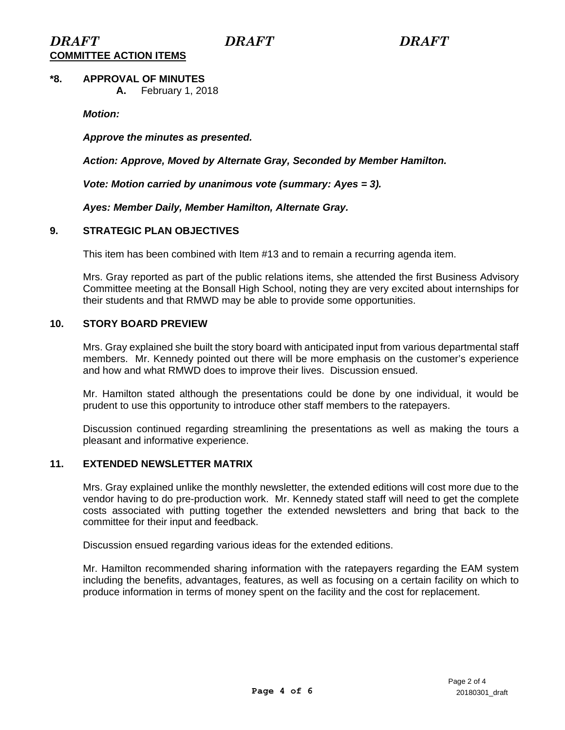# **\*8. APPROVAL OF MINUTES**

 **A.** February 1, 2018

*Motion:* 

*Approve the minutes as presented.* 

*Action: Approve, Moved by Alternate Gray, Seconded by Member Hamilton.* 

*Vote: Motion carried by unanimous vote (summary: Ayes = 3).* 

*Ayes: Member Daily, Member Hamilton, Alternate Gray.* 

### **9. STRATEGIC PLAN OBJECTIVES**

This item has been combined with Item #13 and to remain a recurring agenda item.

Mrs. Gray reported as part of the public relations items, she attended the first Business Advisory Committee meeting at the Bonsall High School, noting they are very excited about internships for their students and that RMWD may be able to provide some opportunities.

#### **10. STORY BOARD PREVIEW**

Mrs. Gray explained she built the story board with anticipated input from various departmental staff members. Mr. Kennedy pointed out there will be more emphasis on the customer's experience and how and what RMWD does to improve their lives. Discussion ensued.

Mr. Hamilton stated although the presentations could be done by one individual, it would be prudent to use this opportunity to introduce other staff members to the ratepayers.

Discussion continued regarding streamlining the presentations as well as making the tours a pleasant and informative experience.

### **11. EXTENDED NEWSLETTER MATRIX**

Mrs. Gray explained unlike the monthly newsletter, the extended editions will cost more due to the vendor having to do pre-production work. Mr. Kennedy stated staff will need to get the complete costs associated with putting together the extended newsletters and bring that back to the committee for their input and feedback.

Discussion ensued regarding various ideas for the extended editions.

Mr. Hamilton recommended sharing information with the ratepayers regarding the EAM system including the benefits, advantages, features, as well as focusing on a certain facility on which to produce information in terms of money spent on the facility and the cost for replacement.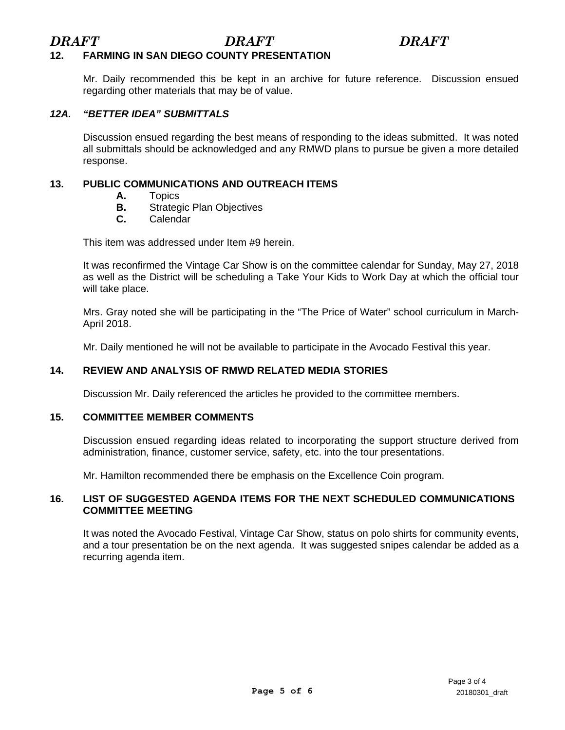### **12. FARMING IN SAN DIEGO COUNTY PRESENTATION**

Mr. Daily recommended this be kept in an archive for future reference. Discussion ensued regarding other materials that may be of value.

### *12A. "BETTER IDEA" SUBMITTALS*

Discussion ensued regarding the best means of responding to the ideas submitted. It was noted all submittals should be acknowledged and any RMWD plans to pursue be given a more detailed response.

#### **13. PUBLIC COMMUNICATIONS AND OUTREACH ITEMS**

- **A.** Topics<br>**B.** Strated
- **B.** Strategic Plan Objectives<br>**C.** Calendar
- **C.** Calendar

This item was addressed under Item #9 herein.

It was reconfirmed the Vintage Car Show is on the committee calendar for Sunday, May 27, 2018 as well as the District will be scheduling a Take Your Kids to Work Day at which the official tour will take place.

Mrs. Gray noted she will be participating in the "The Price of Water" school curriculum in March-April 2018.

Mr. Daily mentioned he will not be available to participate in the Avocado Festival this year.

### **14. REVIEW AND ANALYSIS OF RMWD RELATED MEDIA STORIES**

Discussion Mr. Daily referenced the articles he provided to the committee members.

#### **15. COMMITTEE MEMBER COMMENTS**

Discussion ensued regarding ideas related to incorporating the support structure derived from administration, finance, customer service, safety, etc. into the tour presentations.

Mr. Hamilton recommended there be emphasis on the Excellence Coin program.

### **16. LIST OF SUGGESTED AGENDA ITEMS FOR THE NEXT SCHEDULED COMMUNICATIONS COMMITTEE MEETING**

It was noted the Avocado Festival, Vintage Car Show, status on polo shirts for community events, and a tour presentation be on the next agenda. It was suggested snipes calendar be added as a recurring agenda item.